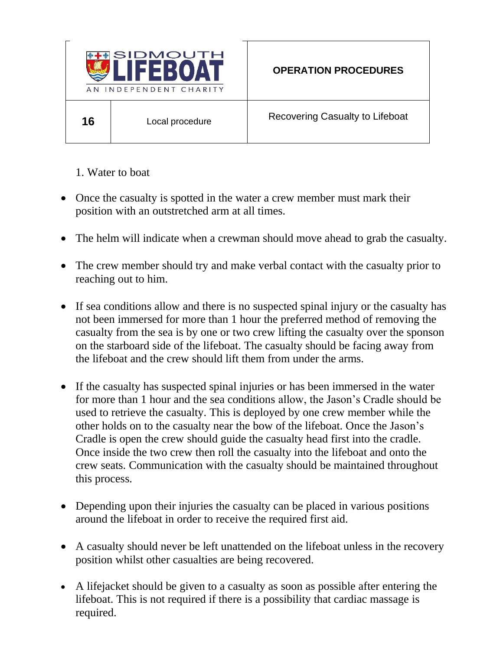

1. Water to boat

- Once the casualty is spotted in the water a crew member must mark their position with an outstretched arm at all times.
- The helm will indicate when a crewman should move ahead to grab the casualty.
- The crew member should try and make verbal contact with the casualty prior to reaching out to him.
- If sea conditions allow and there is no suspected spinal injury or the casualty has not been immersed for more than 1 hour the preferred method of removing the casualty from the sea is by one or two crew lifting the casualty over the sponson on the starboard side of the lifeboat. The casualty should be facing away from the lifeboat and the crew should lift them from under the arms.
- If the casualty has suspected spinal injuries or has been immersed in the water for more than 1 hour and the sea conditions allow, the Jason's Cradle should be used to retrieve the casualty. This is deployed by one crew member while the other holds on to the casualty near the bow of the lifeboat. Once the Jason's Cradle is open the crew should guide the casualty head first into the cradle. Once inside the two crew then roll the casualty into the lifeboat and onto the crew seats. Communication with the casualty should be maintained throughout this process.
- Depending upon their injuries the casualty can be placed in various positions around the lifeboat in order to receive the required first aid.
- A casualty should never be left unattended on the lifeboat unless in the recovery position whilst other casualties are being recovered.
- A lifejacket should be given to a casualty as soon as possible after entering the lifeboat. This is not required if there is a possibility that cardiac massage is required.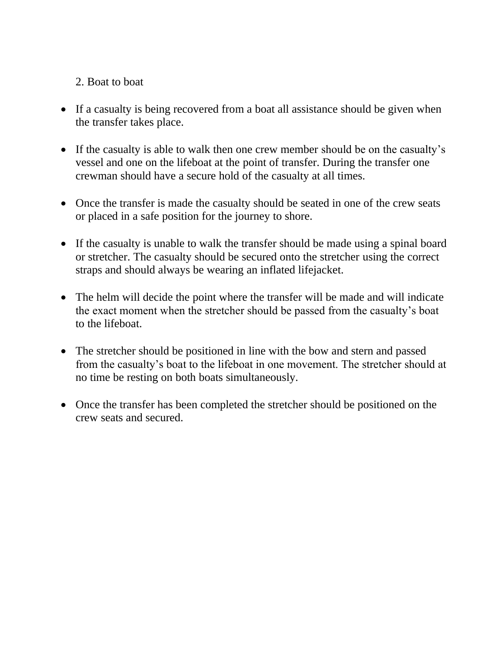## 2. Boat to boat

- If a casualty is being recovered from a boat all assistance should be given when the transfer takes place.
- If the casualty is able to walk then one crew member should be on the casualty's vessel and one on the lifeboat at the point of transfer. During the transfer one crewman should have a secure hold of the casualty at all times.
- Once the transfer is made the casualty should be seated in one of the crew seats or placed in a safe position for the journey to shore.
- If the casualty is unable to walk the transfer should be made using a spinal board or stretcher. The casualty should be secured onto the stretcher using the correct straps and should always be wearing an inflated lifejacket.
- The helm will decide the point where the transfer will be made and will indicate the exact moment when the stretcher should be passed from the casualty's boat to the lifeboat.
- The stretcher should be positioned in line with the bow and stern and passed from the casualty's boat to the lifeboat in one movement. The stretcher should at no time be resting on both boats simultaneously.
- Once the transfer has been completed the stretcher should be positioned on the crew seats and secured.